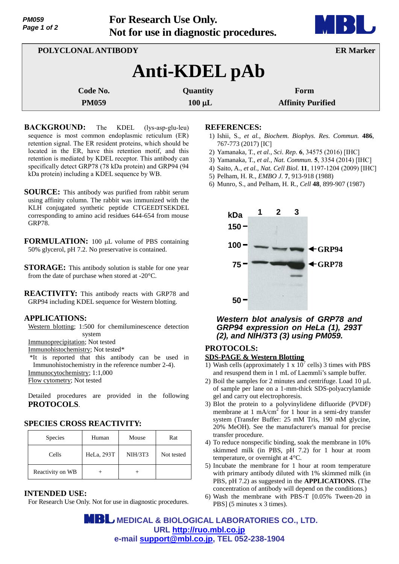| <i><b>PM059</b></i> |  |  |
|---------------------|--|--|
| Page 1 of 2         |  |  |

**For Research Use Only. Not for use in diagnostic procedures.**



| POLYCLONAL ANTIBODY |                 | <b>ER Marker</b>         |  |
|---------------------|-----------------|--------------------------|--|
| Anti-KDEL pAb       |                 |                          |  |
| Code No.            | <b>Quantity</b> | Form                     |  |
| <b>PM059</b>        | $100 \mu L$     | <b>Affinity Purified</b> |  |

- **BACKGROUND:** The KDEL (lys-asp-glu-leu) sequence is most common endoplasmic reticulum (ER) retention signal. The ER resident proteins, which should be located in the ER, have this retention motif, and this retention is mediated by KDEL receptor. This antibody can specifically detect GRP78 (78 kDa protein) and GRP94 (94 kDa protein) including a KDEL sequence by WB.
- **SOURCE:** This antibody was purified from rabbit serum using affinity column. The rabbit was immunized with the KLH conjugated synthetic peptide CTGEEDTSEKDEL corresponding to amino acid residues 644-654 from mouse GRP78.
- FORMULATION: 100 µL volume of PBS containing 50% glycerol, pH 7.2. No preservative is contained.
- **STORAGE:** This antibody solution is stable for one year from the date of purchase when stored at -20°C.
- **REACTIVITY:** This antibody reacts with GRP78 and GRP94 including KDEL sequence for Western blotting.

### **APPLICATIONS:**

- Western blotting; 1:500 for chemiluminescence detection system
- Immunoprecipitation; Not tested

Immunohistochemistry; Not tested\*

\*It is reported that this antibody can be used in Immunohistochemistry in the reference number 2-4). Immunocytochemistry; 1:1,000

Flow cytometry; Not tested

Detailed procedures are provided in the following **PROTOCOLS**.

# **SPECIES CROSS REACTIVITY:**

| Species          | Human      | Mouse          | Rat        |
|------------------|------------|----------------|------------|
| Cells            | HeLa, 293T | <b>NIH/3T3</b> | Not tested |
| Reactivity on WB |            |                |            |

# **INTENDED USE:**

For Research Use Only. Not for use in diagnostic procedures.

#### **REFERENCES:**

- 1) Ishii, S., *et al.*, *Biochem. Biophys. Res. Commun.* **486**, 767-773 (2017) [IC]
- 2) Yamanaka, T., *et al.*, *Sci. Rep.* **6**, 34575 (2016) [IHC]
- 3) Yamanaka, T., *et al.*, *Nat. Commun.* **5**, 3354 (2014) [IHC]
- 4) Saito, A., *et al.*, *Nat. Cell Biol.* **11**, 1197-1204 (2009) [IHC]
- 5) Pelham, H. R., *EMBO J.* **7**, 913-918 (1988)
- 6) Munro, S., and Pelham, H. R., *Cell* **48**, 899-907 (1987)



## *Western blot analysis of GRP78 and GRP94 expression on HeLa (1), 293T (2), and NIH/3T3 (3) using PM059.*

### **PROTOCOLS:**

#### **SDS-PAGE & Western Blotting**

- 1) Wash cells (approximately 1 x  $10^7$  cells) 3 times with PBS and resuspend them in 1 mL of Laemmli's sample buffer.
- 2) Boil the samples for 2 minutes and centrifuge. Load  $10 \mu L$ of sample per lane on a 1-mm-thick SDS-polyacrylamide gel and carry out electrophoresis.
- 3) Blot the protein to a polyvinylidene difluoride (PVDF) membrane at  $1 \text{ mA/cm}^2$  for 1 hour in a semi-dry transfer system (Transfer Buffer: 25 mM Tris, 190 mM glycine, 20% MeOH). See the manufacturer's manual for precise transfer procedure.
- 4) To reduce nonspecific binding, soak the membrane in 10% skimmed milk (in PBS, pH 7.2) for 1 hour at room temperature, or overnight at 4°C.
- 5) Incubate the membrane for 1 hour at room temperature with primary antibody diluted with 1% skimmed milk (in PBS, pH 7.2) as suggested in the **APPLICATIONS**. (The concentration of antibody will depend on the conditions.)
- 6) Wash the membrane with PBS-T [0.05% Tween-20 in PBS] (5 minutes x 3 times).

 **MEDICAL & BIOLOGICAL LABORATORIES CO., LTD. URL [http://ruo.mbl.co.jp](http://ruo.mbl.co.jp/) e-mail [support@mbl.co.jp,](mailto:support@mbl.co.jp) TEL 052-238-1904**